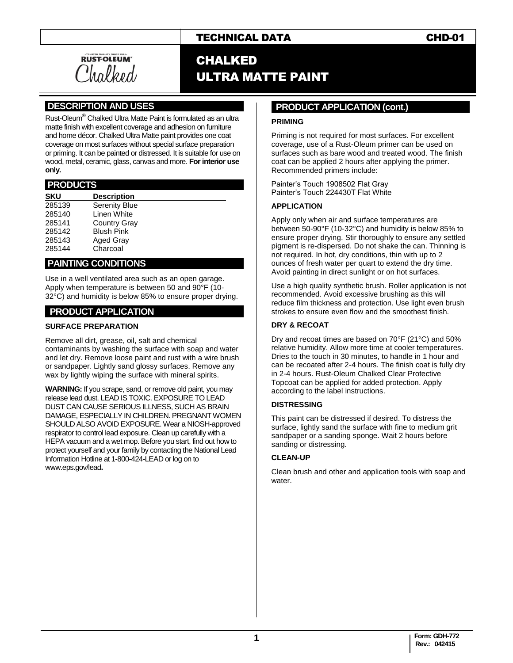# TECHNICAL DATA CHD-01

RUSTOLEUM<sup>®</sup> CHALKED

# ULTRA MATTE PAINT

## **.DESCRIPTION AND USES .**

Rust-Oleum® Chalked Ultra Matte Paint is formulated as an ultra matte finish with excellent coverage and adhesion on furniture and home décor. Chalked Ultra Matte paint provides one coat coverage on most surfaces without special surface preparation or priming. It can be painted or distressed. It is suitable for use on wood, metal, ceramic, glass, canvas and more. **For interior use only.** 

#### **.PRODUCTS .**

| <b>SKU</b> | <b>Description</b>   |
|------------|----------------------|
| 285139     | <b>Serenity Blue</b> |
| 285140     | Linen White          |
| 285141     | Country Gray         |
| 285142     | <b>Blush Pink</b>    |
| 285143     | Aged Gray            |
| 285144     | Charcoal             |

#### **.PAINTING CONDITIONS .**

Use in a well ventilated area such as an open garage. Apply when temperature is between 50 and 90°F (10- 32°C) and humidity is below 85% to ensure proper drying.

#### **PRODUCT APPLICATION**

#### **SURFACE PREPARATION**

Remove all dirt, grease, oil, salt and chemical contaminants by washing the surface with soap and water and let dry. Remove loose paint and rust with a wire brush or sandpaper. Lightly sand glossy surfaces. Remove any wax by lightly wiping the surface with mineral spirits.

**WARNING:** If you scrape, sand, or remove old paint, you may release lead dust. LEAD IS TOXIC. EXPOSURE TO LEAD DUST CAN CAUSE SERIOUS ILLNESS, SUCH AS BRAIN DAMAGE, ESPECIALLY IN CHILDREN. PREGNANT WOMEN SHOULD ALSO AVOID EXPOSURE. Wear a NIOSH-approved respirator to control lead exposure. Clean up carefully with a HEPA vacuum and a wet mop. Before you start, find out how to protect yourself and your family by contacting the National Lead Information Hotline at 1-800-424-LEAD or log on to [www.eps.gov/lead](http://www.eps.gov/lead)**.**

#### **..PRODUCT APPLICATION (cont.) .**

#### **PRIMING**

Priming is not required for most surfaces. For excellent coverage, use of a Rust-Oleum primer can be used on surfaces such as bare wood and treated wood. The finish coat can be applied 2 hours after applying the primer. Recommended primers include:

Painter's Touch 1908502 Flat Gray Painter's Touch 224430T Flat White

#### **APPLICATION**

Apply only when air and surface temperatures are between 50-90°F (10-32°C) and humidity is below 85% to ensure proper drying. Stir thoroughly to ensure any settled pigment is re-dispersed. Do not shake the can. Thinning is not required. In hot, dry conditions, thin with up to 2 ounces of fresh water per quart to extend the dry time. Avoid painting in direct sunlight or on hot surfaces.

Use a high quality synthetic brush. Roller application is not recommended. Avoid excessive brushing as this will reduce film thickness and protection. Use light even brush strokes to ensure even flow and the smoothest finish.

#### **DRY & RECOAT**

Dry and recoat times are based on 70°F (21°C) and 50% relative humidity. Allow more time at cooler temperatures. Dries to the touch in 30 minutes, to handle in 1 hour and can be recoated after 2-4 hours. The finish coat is fully dry in 2-4 hours. Rust-Oleum Chalked Clear Protective Topcoat can be applied for added protection. Apply according to the label instructions.

#### **DISTRESSING**

This paint can be distressed if desired. To distress the surface, lightly sand the surface with fine to medium grit sandpaper or a sanding sponge. Wait 2 hours before sanding or distressing.

#### **CLEAN-UP**

Clean brush and other and application tools with soap and water.